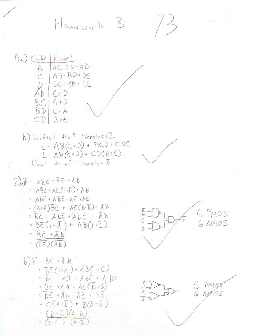Homework 3



 $L = AB(C+D) + BCD + CDE$  $L = AB(c+D) + CD(B+C)$  $Final \# of Herals: 8$ 

$$
2) a) F = AB \overline{c} + \overline{AC} + \overline{AB}
$$
  
\n
$$
= AB \overline{c} + \overline{AC} (1 + \overline{B}) + \overline{AB}
$$
  
\n
$$
= AB \overline{c} + \overline{AB} \overline{c} - \overline{AC} + \overline{AB}
$$
  
\n
$$
= (A + \overline{A}) \overline{BC} + \overline{AC} (B + \overline{B}) + \overline{AB}
$$
  
\n
$$
= \overline{BC} + \overline{AB} \overline{c} + \overline{AB} \overline{c} + \overline{AB}
$$
  
\n
$$
= \overline{BC} (1 + \overline{A}) + \overline{AB} (1 + \overline{C})
$$
  
\n
$$
= \overline{BC} + \overline{AB}
$$

b) 
$$
F - B\overline{C} + \overline{A}B
$$
  
\n $= BE(1+\overline{A}) + \overline{A}B(1+\overline{C})$   
\n $= BE + \overline{A}B + \overline{A}BE + \overline{A}B\overline{C}$   
\n $= BE - \overline{A}B + \overline{A}\overline{C}B + B$   
\n $= DE + \overline{A}B + \overline{A}\overline{C} + BE$   
\n $= \overline{C}(A+\overline{B}) + B(A+\overline{B})$   
\n $= \overline{(B+\overline{C})(\overline{A}+\overline{B})}$ 



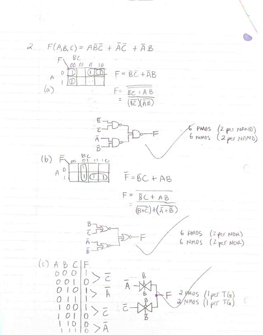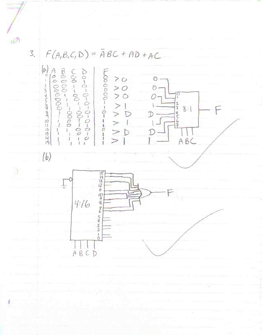$\mathcal{O}$ 3.  $F(A,B,C,D) = \overline{A}BC + AD + AC$  $\left(\begin{smallmatrix} 0\\0\\0\end{smallmatrix}\right)$  $> 0$  $\mathbbm{O}$  .  $> 0$ <br> $> 0$ 2345676910112345  $\circ$  $\sqrt{2}$  $\bigcirc$ .  $\vee$  $254567$  $8:1$ Ť  $\vee$ D  $ABC$  $(b)$ **1543200946545200** ৳  $4:16$ ABCD

Á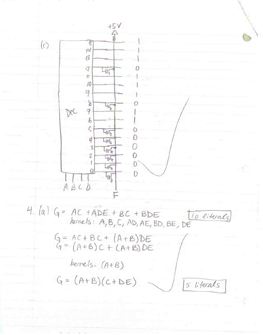

4. (a)  $G = AC + \overline{ADE} + BC + BDE$ <br>keinels: A, B, C, AD, AE, BD, BE, DE 10 literals  $G = AC + BC + (A + B)DE$ <br> $G = (A + B)C + (A + B)DE$  $h$ ernels:  $(A+B)$  $G = (A+B)(C+DE)$ 5 literals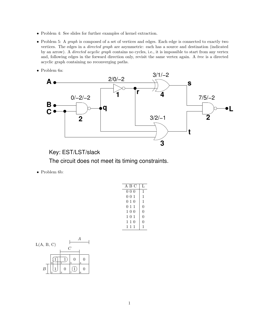- Problem 4: See slides for further examples of kernel extraction.
- Problem 5: A graph is composed of a set of vertices and edges. Each edge is connected to exactly two vertices. The edges in a directed graph are asymmetric: each has a source and destination (indicated by an arrow). A *directed acyclic graph* contains no cycles, i.e., it is impossible to start from any vertex and, following edges in the forward direction only, revisit the same vertex again. A tree is a directed acyclic graph containing no reconverging paths.
- Problem 6a:



Key: EST/LST/slack

The circuit does not meet its timing constraints.

• Problem 6b:

| A B C | Τ.             |
|-------|----------------|
| 000   | 1              |
| 001   | 1              |
| 010   | 1              |
| 011   | $\overline{0}$ |
| 100   | $\overline{0}$ |
| 101   | $\overline{0}$ |
| 110   | $\theta$       |
| 111   | 1              |